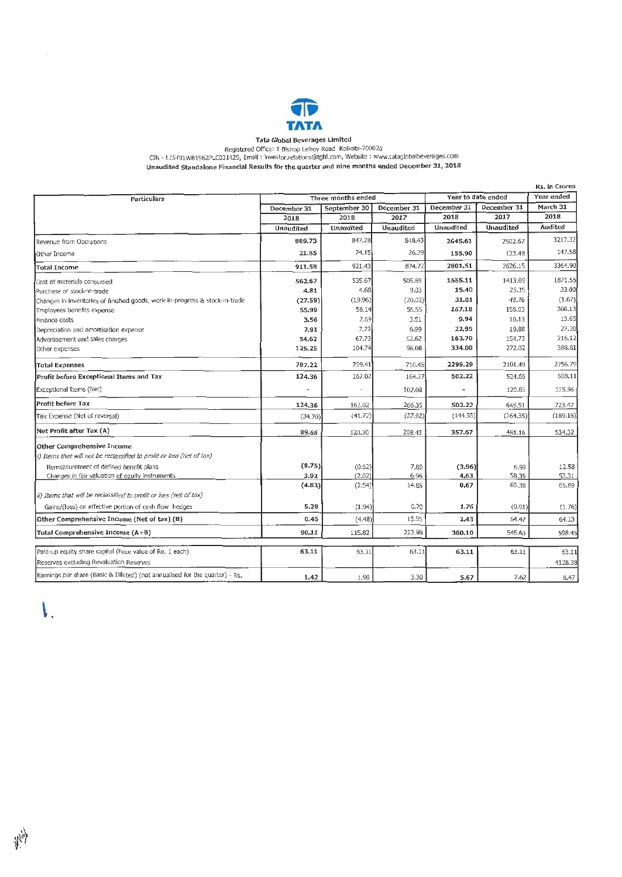

## Tata Global Beverages Limited

Registered Office: 1 Bishop Lefroy Road Kolkata-700020<br>CIN - L15491WB1962PLC031425, Email : investor.relations@tgbl.com, Website : www.tataglobalbeverages.com Unaudited Standalone Financial Results for the quarter and nine months ended December 31, 2018

| Particulars                                                                 | Three months ended |              |                  | Year to date ended |             | Year ended |
|-----------------------------------------------------------------------------|--------------------|--------------|------------------|--------------------|-------------|------------|
|                                                                             | December 31        | September 30 | December 31      | December 31        | December 31 | March 31   |
|                                                                             | 2018               | 2018         | 2017             | 2018               | 2017        | 2018       |
|                                                                             | Unaudited          | Unaudited    | <b>Unaudited</b> | <b>Unaudited</b>   | Unaudited   | Audited    |
| Revenue from Operations                                                     | 889.73             | 847.28       | 848.43           | 2645.61            | 2502.67     | 3217.32    |
| Other Income                                                                | 21.85              | 74.15        | 26.29            | 155.90             | 123.48      | 147.58     |
| <b>Total Income</b>                                                         | 911,58             | 921.43       | 874,72           | 2801.51            | 2626.15     | 3364.90    |
| Cost of materials consumed                                                  | 562.67             | 535.67       | 505.69           | 1555.11            | 1413.09     | 1871.55    |
| Purchase of stock-in-trade                                                  | 4.81               | 4.68         | 9.03             | 15,40              | 25.35       | 33.00      |
| Changes in inventories of finished goods, work-in-progress & stock-in-trade | (27.59)            | (19.96)      | (20.02)          | 31.01              | 48,26       | (1.67)     |
| Employees benefits expense                                                  | 55.99              | 56.14        | 56.55            | 167.18             | 158.03      | 208.13     |
| Finance costs                                                               | 3.56               | 2.69         | 3.51             | 9.94               | 10.13       | 13.65      |
| Depreciation and amortisation expense                                       | 7.91               | 7.72         | 6.99             | 22.95              | 19.88       | 27.20      |
| Advertisement and sales charges                                             | 54.62              | 67.73        | 52.62            | 163.70             | 154.73      | 216.12     |
| Other expenses                                                              | 125.25             | 104.74       | 96.08            | 334.00             | 272.02      | 388.81     |
| <b>Total Expenses</b>                                                       | 787.22             | 759.41       | 710.45           | 2299.29            | 2101.49     | 2756.79    |
| Profit before Exceptional Items and Tax                                     | 124,36             | 162.02       | 164.27           | 502.22             | 524,66      | 608.11     |
| Exceptional Items (Net)                                                     |                    |              | 102.08           |                    | 120.85      | 115.36     |
| Profit before Tax                                                           | 124.36             | 162.02       | 266.35           | 502.22             | 645.51      | 723.47     |
| Tax Expense (Net of reversal)                                               | (34.70)            | (41.72)      | (57.92)          | (144, 55)          | (164.35)    | (189.15)   |
| Net Profit after Tax (A)                                                    | 89.66              | 120.30       | 208.43           | 357.67             | 481.16      | 534.32     |
| Other Comprehensive Income                                                  |                    |              |                  |                    |             |            |
| i) Items that will not be reclassified to profit or loss (net of tax)       |                    |              |                  |                    |             |            |
| Remeasurement of defined benefit plans                                      | (8.75)             | (0.52)       | 7.89             | (3.96)             | 6.99        | 12.58      |
| Changes in fair valuation of equity instruments                             | 3.92               | (2.02)       | 6.96             | 4,63               | 58.39       | 53.31      |
|                                                                             | (4.83)             | (2.54)       | 14.85            | 0.67               | 65.38       | 65.89      |
| ii) Items that will be reclassified to profit or loss (net of tax)          |                    |              |                  |                    |             |            |
| Gains/(loss) on effective portion of cash flow hedges                       | 5.28               | (1.94)       | 0.70             | 1.76               | (0.91)      | (1.76)     |
| Other Comprehensive Income (Net of tax) (B)                                 | 0.45               | (4.48)       | 15.55            | 2,43               | 64.47       | 64.13      |
| Total Comprehensive Income (A+B)                                            | 90.11              | 115.82       | 223.98           | 360.10             | 545.63      | 598.45     |
| Paid-up equity share capital (Face value of Re. 1 each)                     | 63.11              | 63.11        | 63.11            | 63.11              | 63.11       | 63.11      |
|                                                                             |                    |              |                  |                    |             |            |
| Reserves excluding Revaluation Reserves                                     |                    |              |                  |                    |             | 4128,38    |

 $\mathsf{L}$ .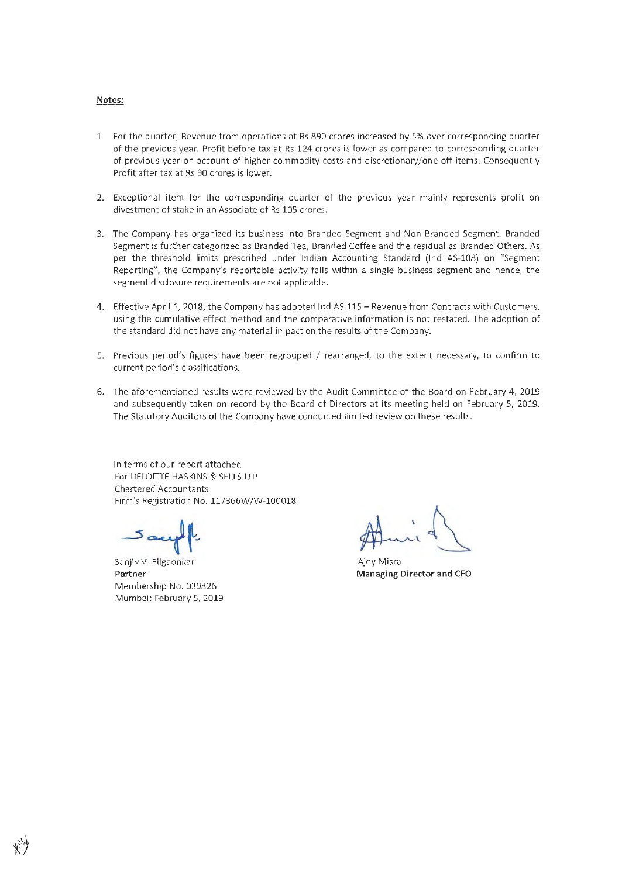#### Notes:

- 1. For the quarter, Revenue from operations at Rs 890 crores increased by 5% over corresponding quarter of the previous year. Profit before tax at Rs 124 crores is lower as compared to corresponding quarter of previous year on account of higher commodity costs and discretionary/one off items. Consequently Profit after tax at Rs 90 crores is lower.
- 2. Exceptional item for the corresponding quarter of the previous year mainly represents profit on divestment of stake in an Associate of Rs 105 crores.
- 3. The Company has organized its business into Branded Segment and Non Branded Segment. Branded Segment is further categorized as Branded Tea, Branded Coffee and the residual as Branded Others. As per the threshold limits prescribed under Indian Accounting Standard (lnd AS-108) on "Segment Reporting", the Company's reportable activity falls within a single business segment and hence, the segment disclosure requirements are not applicable.
- 4. Effective April 1, 2018, the Company has adopted Ind AS 115 Revenue from Contracts with Customers, using the cumulative effect method and the comparative information is not restated. The adoption of the standard did not have any material impact on the results of the Company.
- 5. Previous period's figures have been regrouped / rearranged, to the extent necessary, to confirm to current period's classifications.
- 6. The aforementioned results were reviewed by the Audit Committee of the Board on February 4, 2019 and subsequently taken on record by the Board of Directors at its meeting held on February 5, 2019. The Statutory Auditors of the Company have conducted limited review on these results.

In terms of our report attached For DELOITIE HASKINS & SELLS LLP Chartered Accountants Firm's Registration No. 117366W/W-100018

م حد

Sanjiv V. Pilgaonkar **Partner**  Membership No. 039826 Mumbai: February 5, 2019

Ajoy Misra **Managing Director and CEO**